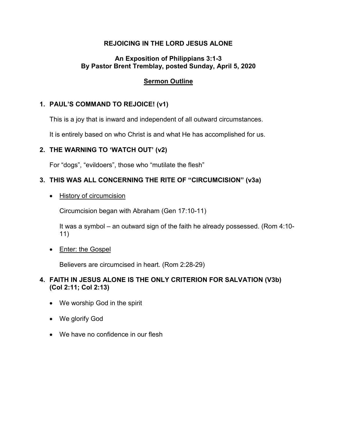### **REJOICING IN THE LORD JESUS ALONE**

### **An Exposition of Philippians 3:1-3 By Pastor Brent Tremblay, posted Sunday, April 5, 2020**

# **Sermon Outline**

# **1. PAUL'S COMMAND TO REJOICE! (v1)**

This is a joy that is inward and independent of all outward circumstances.

It is entirely based on who Christ is and what He has accomplished for us.

## **2. THE WARNING TO 'WATCH OUT' (v2)**

For "dogs", "evildoers", those who "mutilate the flesh"

# **3. THIS WAS ALL CONCERNING THE RITE OF "CIRCUMCISION" (v3a)**

• History of circumcision

Circumcision began with Abraham (Gen 17:10-11)

It was a symbol – an outward sign of the faith he already possessed. (Rom 4:10- 11)

• Enter: the Gospel

Believers are circumcised in heart. (Rom 2:28-29)

## **4. FAITH IN JESUS ALONE IS THE ONLY CRITERION FOR SALVATION (V3b) (Col 2:11; Col 2:13)**

- We worship God in the spirit
- We glorify God
- We have no confidence in our flesh